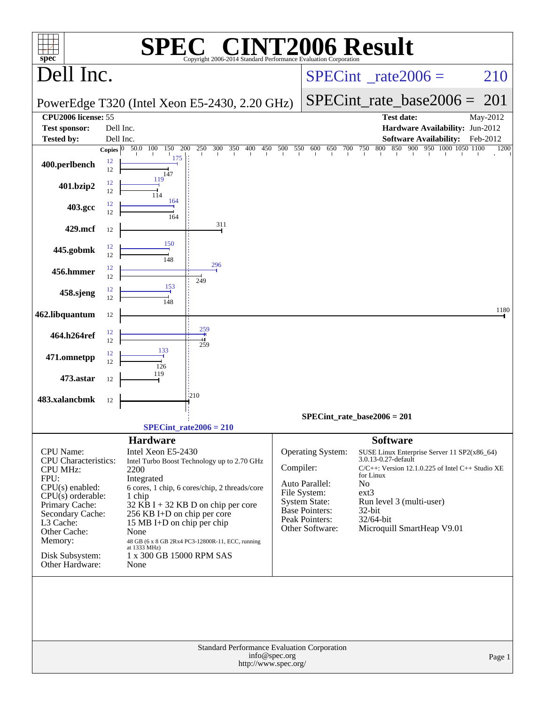| <b>C® CINT2006 Result</b><br>Copyright 2006-2014 Standard Performance Evaluation Corporation                                                                                                                     |          |                                                                                                                                                                                                                                                                                                                                                                                    |                                                                     |                                                                                                                                           |                                                                                                                                                                                                                                                                            |                                                                            |          |  |  |  |
|------------------------------------------------------------------------------------------------------------------------------------------------------------------------------------------------------------------|----------|------------------------------------------------------------------------------------------------------------------------------------------------------------------------------------------------------------------------------------------------------------------------------------------------------------------------------------------------------------------------------------|---------------------------------------------------------------------|-------------------------------------------------------------------------------------------------------------------------------------------|----------------------------------------------------------------------------------------------------------------------------------------------------------------------------------------------------------------------------------------------------------------------------|----------------------------------------------------------------------------|----------|--|--|--|
| $spec^*$<br>Dell Inc.                                                                                                                                                                                            |          |                                                                                                                                                                                                                                                                                                                                                                                    |                                                                     |                                                                                                                                           | $SPECint^{\circ}$ <sub>_rate2006</sub> =                                                                                                                                                                                                                                   | 210                                                                        |          |  |  |  |
|                                                                                                                                                                                                                  |          |                                                                                                                                                                                                                                                                                                                                                                                    | PowerEdge T320 (Intel Xeon E5-2430, 2.20 GHz)                       |                                                                                                                                           |                                                                                                                                                                                                                                                                            | $SPECint_rate\_base2006 =$                                                 | 201      |  |  |  |
| <b>CPU2006</b> license: 55                                                                                                                                                                                       |          |                                                                                                                                                                                                                                                                                                                                                                                    |                                                                     |                                                                                                                                           |                                                                                                                                                                                                                                                                            | <b>Test date:</b>                                                          | May-2012 |  |  |  |
| <b>Test sponsor:</b>                                                                                                                                                                                             |          | Dell Inc.                                                                                                                                                                                                                                                                                                                                                                          |                                                                     |                                                                                                                                           |                                                                                                                                                                                                                                                                            | Hardware Availability: Jun-2012                                            |          |  |  |  |
| <b>Tested by:</b>                                                                                                                                                                                                |          | Dell Inc.                                                                                                                                                                                                                                                                                                                                                                          |                                                                     |                                                                                                                                           |                                                                                                                                                                                                                                                                            | <b>Software Availability:</b>                                              | Feb-2012 |  |  |  |
|                                                                                                                                                                                                                  |          | Copies $\boxed{0 - 50.0 - 100}$<br>150<br>175                                                                                                                                                                                                                                                                                                                                      | 200                                                                 |                                                                                                                                           |                                                                                                                                                                                                                                                                            | 250 300 350 400 450 500 550 600 650 700 750 800 850 900 950 1000 1050 1100 | 1200     |  |  |  |
| 400.perlbench                                                                                                                                                                                                    | 12<br>12 | 147                                                                                                                                                                                                                                                                                                                                                                                |                                                                     |                                                                                                                                           |                                                                                                                                                                                                                                                                            |                                                                            |          |  |  |  |
| 401.bzip2                                                                                                                                                                                                        | 12<br>12 | 119                                                                                                                                                                                                                                                                                                                                                                                |                                                                     |                                                                                                                                           |                                                                                                                                                                                                                                                                            |                                                                            |          |  |  |  |
| 403.gcc                                                                                                                                                                                                          | 12<br>12 | 164<br>164                                                                                                                                                                                                                                                                                                                                                                         |                                                                     |                                                                                                                                           |                                                                                                                                                                                                                                                                            |                                                                            |          |  |  |  |
| 429.mcf                                                                                                                                                                                                          | 12       |                                                                                                                                                                                                                                                                                                                                                                                    | 311                                                                 |                                                                                                                                           |                                                                                                                                                                                                                                                                            |                                                                            |          |  |  |  |
| 445.gobmk                                                                                                                                                                                                        | 12<br>12 | 150                                                                                                                                                                                                                                                                                                                                                                                |                                                                     |                                                                                                                                           |                                                                                                                                                                                                                                                                            |                                                                            |          |  |  |  |
| 456.hmmer                                                                                                                                                                                                        | 12<br>12 | 148                                                                                                                                                                                                                                                                                                                                                                                | 296                                                                 |                                                                                                                                           |                                                                                                                                                                                                                                                                            |                                                                            |          |  |  |  |
| 458.sjeng                                                                                                                                                                                                        | 12<br>12 | 153                                                                                                                                                                                                                                                                                                                                                                                | 249                                                                 |                                                                                                                                           |                                                                                                                                                                                                                                                                            |                                                                            |          |  |  |  |
| 462.libquantum                                                                                                                                                                                                   | 12       |                                                                                                                                                                                                                                                                                                                                                                                    |                                                                     |                                                                                                                                           |                                                                                                                                                                                                                                                                            |                                                                            | 1180     |  |  |  |
| 464.h264ref                                                                                                                                                                                                      | 12       |                                                                                                                                                                                                                                                                                                                                                                                    | 259                                                                 |                                                                                                                                           |                                                                                                                                                                                                                                                                            |                                                                            |          |  |  |  |
| 471.omnetpp                                                                                                                                                                                                      | 12<br>12 | 133                                                                                                                                                                                                                                                                                                                                                                                | 259                                                                 |                                                                                                                                           |                                                                                                                                                                                                                                                                            |                                                                            |          |  |  |  |
| 473.astar                                                                                                                                                                                                        | 12<br>12 | 126<br>119                                                                                                                                                                                                                                                                                                                                                                         |                                                                     |                                                                                                                                           |                                                                                                                                                                                                                                                                            |                                                                            |          |  |  |  |
| 483.xalancbmk                                                                                                                                                                                                    | 12       |                                                                                                                                                                                                                                                                                                                                                                                    | 1210                                                                |                                                                                                                                           |                                                                                                                                                                                                                                                                            |                                                                            |          |  |  |  |
|                                                                                                                                                                                                                  |          |                                                                                                                                                                                                                                                                                                                                                                                    |                                                                     |                                                                                                                                           |                                                                                                                                                                                                                                                                            | $SPECint_rate_base2006 = 201$                                              |          |  |  |  |
|                                                                                                                                                                                                                  |          |                                                                                                                                                                                                                                                                                                                                                                                    | SPECint rate $2006 = 210$                                           |                                                                                                                                           |                                                                                                                                                                                                                                                                            |                                                                            |          |  |  |  |
| CPU Name:<br><b>CPU</b> Characteristics:<br><b>CPU MHz:</b><br>FPU:<br>$CPU(s)$ enabled:<br>$CPU(s)$ orderable:<br>Primary Cache:<br>Secondary Cache:<br>L3 Cache:<br>Other Cache:<br>Memory:<br>Disk Subsystem: |          | <b>Hardware</b><br>Intel Xeon E5-2430<br>Intel Turbo Boost Technology up to 2.70 GHz<br>2200<br>Integrated<br>6 cores, 1 chip, 6 cores/chip, 2 threads/core<br>1 chip<br>$32$ KB I + 32 KB D on chip per core<br>256 KB I+D on chip per core<br>15 MB I+D on chip per chip<br>None<br>48 GB (6 x 8 GB 2Rx4 PC3-12800R-11, ECC, running<br>at 1333 MHz)<br>1 x 300 GB 15000 RPM SAS | Compiler:                                                           | <b>Operating System:</b><br>Auto Parallel:<br>File System:<br>System State:<br><b>Base Pointers:</b><br>Peak Pointers:<br>Other Software: | <b>Software</b><br>SUSE Linux Enterprise Server 11 SP2(x86_64)<br>3.0.13-0.27-default<br>$C/C++$ : Version 12.1.0.225 of Intel $C++$ Studio XE<br>for Linux<br>N <sub>o</sub><br>$ext{3}$<br>Run level 3 (multi-user)<br>32-bit<br>32/64-bit<br>Microquill SmartHeap V9.01 |                                                                            |          |  |  |  |
| Other Hardware:                                                                                                                                                                                                  |          | None                                                                                                                                                                                                                                                                                                                                                                               | Standard Performance Evaluation Corporation<br>http://www.spec.org/ | info@spec.org                                                                                                                             |                                                                                                                                                                                                                                                                            |                                                                            | Page 1   |  |  |  |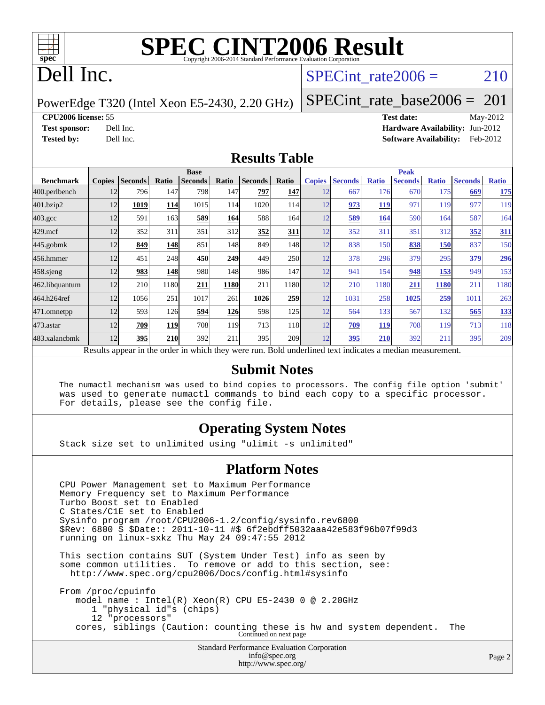

# **[SPEC CINT2006 Result](http://www.spec.org/auto/cpu2006/Docs/result-fields.html#SPECCINT2006Result)**

# Dell Inc.

## SPECint rate $2006 = 210$

PowerEdge T320 (Intel Xeon E5-2430, 2.20 GHz)

[SPECint\\_rate\\_base2006 =](http://www.spec.org/auto/cpu2006/Docs/result-fields.html#SPECintratebase2006)  $201$ 

**[CPU2006 license:](http://www.spec.org/auto/cpu2006/Docs/result-fields.html#CPU2006license)** 55 **[Test date:](http://www.spec.org/auto/cpu2006/Docs/result-fields.html#Testdate)** May-2012

**[Test sponsor:](http://www.spec.org/auto/cpu2006/Docs/result-fields.html#Testsponsor)** Dell Inc. **[Hardware Availability:](http://www.spec.org/auto/cpu2006/Docs/result-fields.html#HardwareAvailability)** Jun-2012 **[Tested by:](http://www.spec.org/auto/cpu2006/Docs/result-fields.html#Testedby)** Dell Inc. **[Software Availability:](http://www.spec.org/auto/cpu2006/Docs/result-fields.html#SoftwareAvailability)** Feb-2012

#### **[Results Table](http://www.spec.org/auto/cpu2006/Docs/result-fields.html#ResultsTable)**

|                                                                                                          | <b>Base</b>   |                |            |                |            |                |            | <b>Peak</b>   |                |              |                |              |                |              |
|----------------------------------------------------------------------------------------------------------|---------------|----------------|------------|----------------|------------|----------------|------------|---------------|----------------|--------------|----------------|--------------|----------------|--------------|
| <b>Benchmark</b>                                                                                         | <b>Copies</b> | <b>Seconds</b> | Ratio      | <b>Seconds</b> | Ratio      | <b>Seconds</b> | Ratio      | <b>Copies</b> | <b>Seconds</b> | <b>Ratio</b> | <b>Seconds</b> | <b>Ratio</b> | <b>Seconds</b> | <b>Ratio</b> |
| 400.perlbench                                                                                            | 12            | 796            | 147        | 798            | 147        | 797            | 147        | 12            | 667            | 176          | 670            | 175          | 669            | <u>175</u>   |
| 401.bzip2                                                                                                | 12            | 1019           | 114        | 1015           | 114        | 1020           | 114        | 12            | 973            | 119          | 971            | 119          | 977            | 119          |
| $403.\text{gcc}$                                                                                         | 12            | 591            | 163        | 589            | 164        | 588            | 164        | 12            | 589            | 164          | 590            | 164          | 587            | 164          |
| $429$ .mcf                                                                                               | 12            | 352            | 311        | 351            | 312l       | 352            | 311        | 12            | 352            | 311          | 351            | 312          | 352            | <u>311</u>   |
| $445$ .gobmk                                                                                             | 12            | 849            | 148        | 851            | 148        | 849            | 148        | 12            | 838            | 150          | 838            | <u>150</u>   | 837            | 150          |
| 456.hmmer                                                                                                | 12            | 451            | 248        | 450            | 249        | 449            | <b>250</b> | 12            | 378            | 296          | 379            | 295          | 379            | 296          |
| $458$ .sjeng                                                                                             | 12            | 983            | <b>148</b> | 980            | 148        | 986            | 147        | 12            | 941            | 154          | 948            | <u>153</u>   | 949            | 153          |
| 462.libquantum                                                                                           | 12            | 210            | 1180       | 211            | 1180       | 211            | 1180       | 12            | 210            | 1180         | 211            | 1180         | 211            | 1180         |
| 464.h264ref                                                                                              | 12            | 1056           | 251        | 1017           | 261        | 1026           | 259        | 12            | 1031           | 258          | 1025           | 259          | 1011           | 263          |
| 471.omnetpp                                                                                              | 12            | 593            | 126        | 594            | <b>126</b> | 598            | 125        | 12            | 564            | 133          | 567            | 132          | 565            | 133          |
| $473$ . astar                                                                                            | 12            | 709            | <b>119</b> | 708            | 119        | 713            | 118        | 12            | 709            | 119          | 708            | 119          | 713            | 118          |
| 483.xalancbmk                                                                                            | 12            | 395            | <b>210</b> | 392            | 211        | 395            | <b>209</b> | 12            | 395            | 210          | 392            | 211          | 395            | 209          |
| Results appear in the order in which they were run. Bold underlined text indicates a median measurement. |               |                |            |                |            |                |            |               |                |              |                |              |                |              |

#### **[Submit Notes](http://www.spec.org/auto/cpu2006/Docs/result-fields.html#SubmitNotes)**

 The numactl mechanism was used to bind copies to processors. The config file option 'submit' was used to generate numactl commands to bind each copy to a specific processor. For details, please see the config file.

### **[Operating System Notes](http://www.spec.org/auto/cpu2006/Docs/result-fields.html#OperatingSystemNotes)**

Stack size set to unlimited using "ulimit -s unlimited"

#### **[Platform Notes](http://www.spec.org/auto/cpu2006/Docs/result-fields.html#PlatformNotes)**

Standard Performance Evaluation Corporation [info@spec.org](mailto:info@spec.org) CPU Power Management set to Maximum Performance Memory Frequency set to Maximum Performance Turbo Boost set to Enabled C States/C1E set to Enabled Sysinfo program /root/CPU2006-1.2/config/sysinfo.rev6800 \$Rev: 6800 \$ \$Date:: 2011-10-11 #\$ 6f2ebdff5032aaa42e583f96b07f99d3 running on linux-sxkz Thu May 24 09:47:55 2012 This section contains SUT (System Under Test) info as seen by some common utilities. To remove or add to this section, see: <http://www.spec.org/cpu2006/Docs/config.html#sysinfo> From /proc/cpuinfo model name : Intel(R) Xeon(R) CPU E5-2430 0 @ 2.20GHz 1 "physical id"s (chips) 12 "processors" cores, siblings (Caution: counting these is hw and system dependent. The Continued on next page

<http://www.spec.org/>

Page 2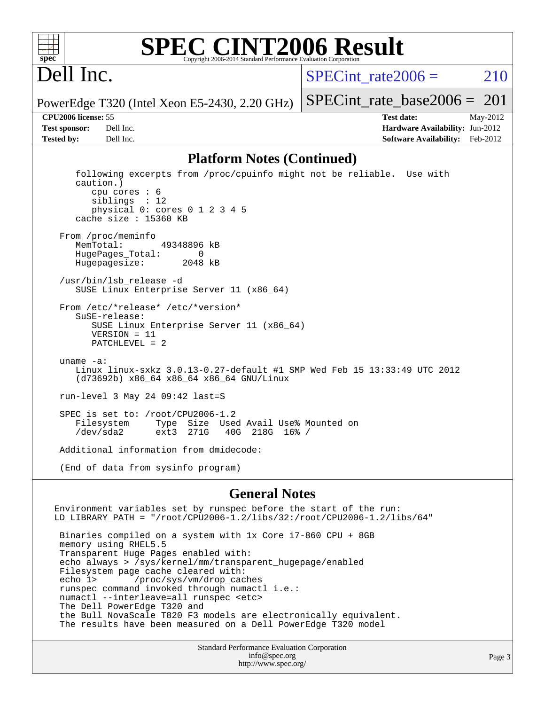

### **[SPEC CINT2006 Result](http://www.spec.org/auto/cpu2006/Docs/result-fields.html#SPECCINT2006Result)** Copyright 2006-2014 Standard Performance Evaluation C

# Dell Inc.

SPECint rate $2006 = 210$ 

PowerEdge T320 (Intel Xeon E5-2430, 2.20 GHz)

**[Tested by:](http://www.spec.org/auto/cpu2006/Docs/result-fields.html#Testedby)** Dell Inc. **[Software Availability:](http://www.spec.org/auto/cpu2006/Docs/result-fields.html#SoftwareAvailability)** Feb-2012

[SPECint\\_rate\\_base2006 =](http://www.spec.org/auto/cpu2006/Docs/result-fields.html#SPECintratebase2006)  $201$ **[CPU2006 license:](http://www.spec.org/auto/cpu2006/Docs/result-fields.html#CPU2006license)** 55 **[Test date:](http://www.spec.org/auto/cpu2006/Docs/result-fields.html#Testdate)** May-2012 **[Test sponsor:](http://www.spec.org/auto/cpu2006/Docs/result-fields.html#Testsponsor)** Dell Inc. **[Hardware Availability:](http://www.spec.org/auto/cpu2006/Docs/result-fields.html#HardwareAvailability)** Jun-2012

#### **[Platform Notes \(Continued\)](http://www.spec.org/auto/cpu2006/Docs/result-fields.html#PlatformNotes)**

 following excerpts from /proc/cpuinfo might not be reliable. Use with caution.) cpu cores : 6 siblings : 12 physical 0: cores 0 1 2 3 4 5 cache size : 15360 KB From /proc/meminfo MemTotal: 49348896 kB HugePages\_Total: 0<br>Hugepagesize: 2048 kB Hugepagesize: /usr/bin/lsb\_release -d SUSE Linux Enterprise Server 11 (x86\_64) From /etc/\*release\* /etc/\*version\* SuSE-release: SUSE Linux Enterprise Server 11 (x86\_64) VERSION = 11 PATCHLEVEL = 2 uname -a: Linux linux-sxkz 3.0.13-0.27-default #1 SMP Wed Feb 15 13:33:49 UTC 2012 (d73692b) x86\_64 x86\_64 x86\_64 GNU/Linux run-level 3 May 24 09:42 last=S SPEC is set to: /root/CPU2006-1.2<br>Filesystem Type Size Use Type Size Used Avail Use% Mounted on<br>ext3 271G 40G 218G 16% / /dev/sda2 ext3 271G 40G 218G 16% / Additional information from dmidecode: (End of data from sysinfo program)

#### **[General Notes](http://www.spec.org/auto/cpu2006/Docs/result-fields.html#GeneralNotes)**

Environment variables set by runspec before the start of the run: LD\_LIBRARY\_PATH = "/root/CPU2006-1.2/libs/32:/root/CPU2006-1.2/libs/64" Binaries compiled on a system with 1x Core i7-860 CPU + 8GB memory using RHEL5.5 Transparent Huge Pages enabled with: echo always > /sys/kernel/mm/transparent\_hugepage/enabled Filesystem page cache cleared with: echo 1> /proc/sys/vm/drop\_caches runspec command invoked through numactl i.e.: numactl --interleave=all runspec <etc> The Dell PowerEdge T320 and the Bull NovaScale T820 F3 models are electronically equivalent. The results have been measured on a Dell PowerEdge T320 model

> Standard Performance Evaluation Corporation [info@spec.org](mailto:info@spec.org) <http://www.spec.org/>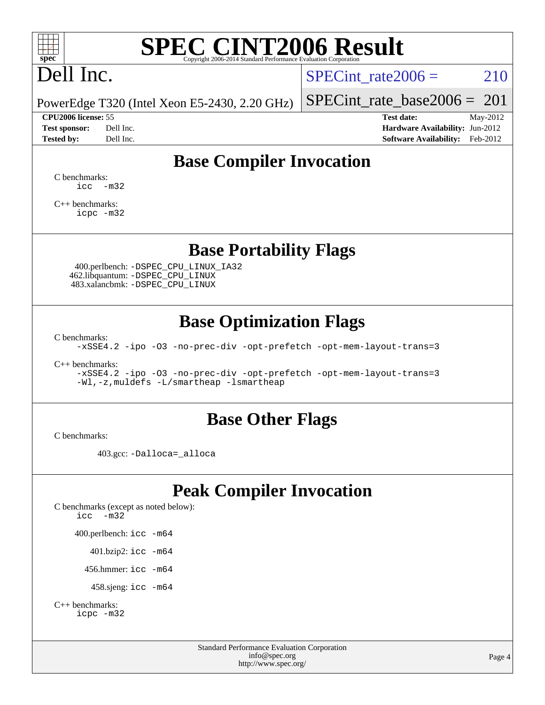

# **[SPEC CINT2006 Result](http://www.spec.org/auto/cpu2006/Docs/result-fields.html#SPECCINT2006Result)**

# Dell Inc.

SPECint rate $2006 = 210$ 

PowerEdge T320 (Intel Xeon E5-2430, 2.20 GHz)

**[Tested by:](http://www.spec.org/auto/cpu2006/Docs/result-fields.html#Testedby)** Dell Inc. **[Software Availability:](http://www.spec.org/auto/cpu2006/Docs/result-fields.html#SoftwareAvailability)** Feb-2012

[SPECint\\_rate\\_base2006 =](http://www.spec.org/auto/cpu2006/Docs/result-fields.html#SPECintratebase2006)  $201$ 

**[CPU2006 license:](http://www.spec.org/auto/cpu2006/Docs/result-fields.html#CPU2006license)** 55 **[Test date:](http://www.spec.org/auto/cpu2006/Docs/result-fields.html#Testdate)** May-2012 **[Test sponsor:](http://www.spec.org/auto/cpu2006/Docs/result-fields.html#Testsponsor)** Dell Inc. **[Hardware Availability:](http://www.spec.org/auto/cpu2006/Docs/result-fields.html#HardwareAvailability)** Jun-2012

# **[Base Compiler Invocation](http://www.spec.org/auto/cpu2006/Docs/result-fields.html#BaseCompilerInvocation)**

[C benchmarks](http://www.spec.org/auto/cpu2006/Docs/result-fields.html#Cbenchmarks):  $\text{icc}$   $-\text{m32}$ 

[C++ benchmarks:](http://www.spec.org/auto/cpu2006/Docs/result-fields.html#CXXbenchmarks) [icpc -m32](http://www.spec.org/cpu2006/results/res2012q3/cpu2006-20120703-23495.flags.html#user_CXXbase_intel_icpc_4e5a5ef1a53fd332b3c49e69c3330699)

## **[Base Portability Flags](http://www.spec.org/auto/cpu2006/Docs/result-fields.html#BasePortabilityFlags)**

 400.perlbench: [-DSPEC\\_CPU\\_LINUX\\_IA32](http://www.spec.org/cpu2006/results/res2012q3/cpu2006-20120703-23495.flags.html#b400.perlbench_baseCPORTABILITY_DSPEC_CPU_LINUX_IA32) 462.libquantum: [-DSPEC\\_CPU\\_LINUX](http://www.spec.org/cpu2006/results/res2012q3/cpu2006-20120703-23495.flags.html#b462.libquantum_baseCPORTABILITY_DSPEC_CPU_LINUX) 483.xalancbmk: [-DSPEC\\_CPU\\_LINUX](http://www.spec.org/cpu2006/results/res2012q3/cpu2006-20120703-23495.flags.html#b483.xalancbmk_baseCXXPORTABILITY_DSPEC_CPU_LINUX)

# **[Base Optimization Flags](http://www.spec.org/auto/cpu2006/Docs/result-fields.html#BaseOptimizationFlags)**

[C benchmarks](http://www.spec.org/auto/cpu2006/Docs/result-fields.html#Cbenchmarks):

[-xSSE4.2](http://www.spec.org/cpu2006/results/res2012q3/cpu2006-20120703-23495.flags.html#user_CCbase_f-xSSE42_f91528193cf0b216347adb8b939d4107) [-ipo](http://www.spec.org/cpu2006/results/res2012q3/cpu2006-20120703-23495.flags.html#user_CCbase_f-ipo) [-O3](http://www.spec.org/cpu2006/results/res2012q3/cpu2006-20120703-23495.flags.html#user_CCbase_f-O3) [-no-prec-div](http://www.spec.org/cpu2006/results/res2012q3/cpu2006-20120703-23495.flags.html#user_CCbase_f-no-prec-div) [-opt-prefetch](http://www.spec.org/cpu2006/results/res2012q3/cpu2006-20120703-23495.flags.html#user_CCbase_f-opt-prefetch) [-opt-mem-layout-trans=3](http://www.spec.org/cpu2006/results/res2012q3/cpu2006-20120703-23495.flags.html#user_CCbase_f-opt-mem-layout-trans_a7b82ad4bd7abf52556d4961a2ae94d5)

[C++ benchmarks:](http://www.spec.org/auto/cpu2006/Docs/result-fields.html#CXXbenchmarks)

[-xSSE4.2](http://www.spec.org/cpu2006/results/res2012q3/cpu2006-20120703-23495.flags.html#user_CXXbase_f-xSSE42_f91528193cf0b216347adb8b939d4107) [-ipo](http://www.spec.org/cpu2006/results/res2012q3/cpu2006-20120703-23495.flags.html#user_CXXbase_f-ipo) [-O3](http://www.spec.org/cpu2006/results/res2012q3/cpu2006-20120703-23495.flags.html#user_CXXbase_f-O3) [-no-prec-div](http://www.spec.org/cpu2006/results/res2012q3/cpu2006-20120703-23495.flags.html#user_CXXbase_f-no-prec-div) [-opt-prefetch](http://www.spec.org/cpu2006/results/res2012q3/cpu2006-20120703-23495.flags.html#user_CXXbase_f-opt-prefetch) [-opt-mem-layout-trans=3](http://www.spec.org/cpu2006/results/res2012q3/cpu2006-20120703-23495.flags.html#user_CXXbase_f-opt-mem-layout-trans_a7b82ad4bd7abf52556d4961a2ae94d5) [-Wl,-z,muldefs](http://www.spec.org/cpu2006/results/res2012q3/cpu2006-20120703-23495.flags.html#user_CXXbase_link_force_multiple1_74079c344b956b9658436fd1b6dd3a8a) [-L/smartheap -lsmartheap](http://www.spec.org/cpu2006/results/res2012q3/cpu2006-20120703-23495.flags.html#user_CXXbase_SmartHeap_7c9e394a5779e1a7fec7c221e123830c)

## **[Base Other Flags](http://www.spec.org/auto/cpu2006/Docs/result-fields.html#BaseOtherFlags)**

[C benchmarks](http://www.spec.org/auto/cpu2006/Docs/result-fields.html#Cbenchmarks):

403.gcc: [-Dalloca=\\_alloca](http://www.spec.org/cpu2006/results/res2012q3/cpu2006-20120703-23495.flags.html#b403.gcc_baseEXTRA_CFLAGS_Dalloca_be3056838c12de2578596ca5467af7f3)

# **[Peak Compiler Invocation](http://www.spec.org/auto/cpu2006/Docs/result-fields.html#PeakCompilerInvocation)**

[C benchmarks \(except as noted below\)](http://www.spec.org/auto/cpu2006/Docs/result-fields.html#Cbenchmarksexceptasnotedbelow): [icc -m32](http://www.spec.org/cpu2006/results/res2012q3/cpu2006-20120703-23495.flags.html#user_CCpeak_intel_icc_5ff4a39e364c98233615fdd38438c6f2) 400.perlbench: [icc -m64](http://www.spec.org/cpu2006/results/res2012q3/cpu2006-20120703-23495.flags.html#user_peakCCLD400_perlbench_intel_icc_64bit_bda6cc9af1fdbb0edc3795bac97ada53) 401.bzip2: [icc -m64](http://www.spec.org/cpu2006/results/res2012q3/cpu2006-20120703-23495.flags.html#user_peakCCLD401_bzip2_intel_icc_64bit_bda6cc9af1fdbb0edc3795bac97ada53)

456.hmmer: [icc -m64](http://www.spec.org/cpu2006/results/res2012q3/cpu2006-20120703-23495.flags.html#user_peakCCLD456_hmmer_intel_icc_64bit_bda6cc9af1fdbb0edc3795bac97ada53)

458.sjeng: [icc -m64](http://www.spec.org/cpu2006/results/res2012q3/cpu2006-20120703-23495.flags.html#user_peakCCLD458_sjeng_intel_icc_64bit_bda6cc9af1fdbb0edc3795bac97ada53)

```
C++ benchmarks: 
icpc -m32
```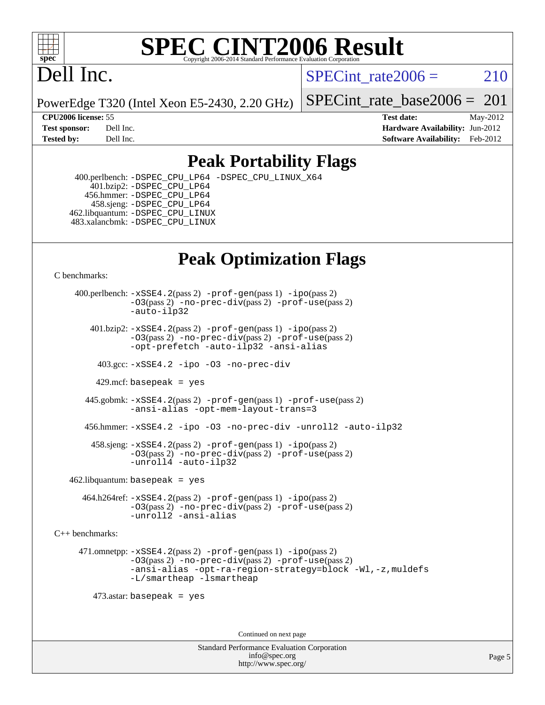

#### **[SPEC CINT2006 Result](http://www.spec.org/auto/cpu2006/Docs/result-fields.html#SPECCINT2006Result)** Copyright 2006-2014 Standard Performance Evaluation C

# Dell Inc.

SPECint rate $2006 = 210$ 

PowerEdge T320 (Intel Xeon E5-2430, 2.20 GHz)

[SPECint\\_rate\\_base2006 =](http://www.spec.org/auto/cpu2006/Docs/result-fields.html#SPECintratebase2006)  $201$ 

**[CPU2006 license:](http://www.spec.org/auto/cpu2006/Docs/result-fields.html#CPU2006license)** 55 **[Test date:](http://www.spec.org/auto/cpu2006/Docs/result-fields.html#Testdate)** May-2012 **[Test sponsor:](http://www.spec.org/auto/cpu2006/Docs/result-fields.html#Testsponsor)** Dell Inc. **[Hardware Availability:](http://www.spec.org/auto/cpu2006/Docs/result-fields.html#HardwareAvailability)** Jun-2012 **[Tested by:](http://www.spec.org/auto/cpu2006/Docs/result-fields.html#Testedby)** Dell Inc. **[Software Availability:](http://www.spec.org/auto/cpu2006/Docs/result-fields.html#SoftwareAvailability)** Feb-2012

# **[Peak Portability Flags](http://www.spec.org/auto/cpu2006/Docs/result-fields.html#PeakPortabilityFlags)**

 400.perlbench: [-DSPEC\\_CPU\\_LP64](http://www.spec.org/cpu2006/results/res2012q3/cpu2006-20120703-23495.flags.html#b400.perlbench_peakCPORTABILITY_DSPEC_CPU_LP64) [-DSPEC\\_CPU\\_LINUX\\_X64](http://www.spec.org/cpu2006/results/res2012q3/cpu2006-20120703-23495.flags.html#b400.perlbench_peakCPORTABILITY_DSPEC_CPU_LINUX_X64) 401.bzip2: [-DSPEC\\_CPU\\_LP64](http://www.spec.org/cpu2006/results/res2012q3/cpu2006-20120703-23495.flags.html#suite_peakCPORTABILITY401_bzip2_DSPEC_CPU_LP64) 456.hmmer: [-DSPEC\\_CPU\\_LP64](http://www.spec.org/cpu2006/results/res2012q3/cpu2006-20120703-23495.flags.html#suite_peakCPORTABILITY456_hmmer_DSPEC_CPU_LP64) 458.sjeng: [-DSPEC\\_CPU\\_LP64](http://www.spec.org/cpu2006/results/res2012q3/cpu2006-20120703-23495.flags.html#suite_peakCPORTABILITY458_sjeng_DSPEC_CPU_LP64) 462.libquantum: [-DSPEC\\_CPU\\_LINUX](http://www.spec.org/cpu2006/results/res2012q3/cpu2006-20120703-23495.flags.html#b462.libquantum_peakCPORTABILITY_DSPEC_CPU_LINUX) 483.xalancbmk: [-DSPEC\\_CPU\\_LINUX](http://www.spec.org/cpu2006/results/res2012q3/cpu2006-20120703-23495.flags.html#b483.xalancbmk_peakCXXPORTABILITY_DSPEC_CPU_LINUX)

# **[Peak Optimization Flags](http://www.spec.org/auto/cpu2006/Docs/result-fields.html#PeakOptimizationFlags)**

[C benchmarks](http://www.spec.org/auto/cpu2006/Docs/result-fields.html#Cbenchmarks):

 400.perlbench: [-xSSE4.2](http://www.spec.org/cpu2006/results/res2012q3/cpu2006-20120703-23495.flags.html#user_peakPASS2_CFLAGSPASS2_LDCFLAGS400_perlbench_f-xSSE42_f91528193cf0b216347adb8b939d4107)(pass 2) [-prof-gen](http://www.spec.org/cpu2006/results/res2012q3/cpu2006-20120703-23495.flags.html#user_peakPASS1_CFLAGSPASS1_LDCFLAGS400_perlbench_prof_gen_e43856698f6ca7b7e442dfd80e94a8fc)(pass 1) [-ipo](http://www.spec.org/cpu2006/results/res2012q3/cpu2006-20120703-23495.flags.html#user_peakPASS2_CFLAGSPASS2_LDCFLAGS400_perlbench_f-ipo)(pass 2) [-O3](http://www.spec.org/cpu2006/results/res2012q3/cpu2006-20120703-23495.flags.html#user_peakPASS2_CFLAGSPASS2_LDCFLAGS400_perlbench_f-O3)(pass 2) [-no-prec-div](http://www.spec.org/cpu2006/results/res2012q3/cpu2006-20120703-23495.flags.html#user_peakPASS2_CFLAGSPASS2_LDCFLAGS400_perlbench_f-no-prec-div)(pass 2) [-prof-use](http://www.spec.org/cpu2006/results/res2012q3/cpu2006-20120703-23495.flags.html#user_peakPASS2_CFLAGSPASS2_LDCFLAGS400_perlbench_prof_use_bccf7792157ff70d64e32fe3e1250b55)(pass 2) [-auto-ilp32](http://www.spec.org/cpu2006/results/res2012q3/cpu2006-20120703-23495.flags.html#user_peakCOPTIMIZE400_perlbench_f-auto-ilp32)  $401.bzip2: -xSSE4.2(pass 2) -prof-qen(pass 1) -ipo(pass 2)$  $401.bzip2: -xSSE4.2(pass 2) -prof-qen(pass 1) -ipo(pass 2)$  $401.bzip2: -xSSE4.2(pass 2) -prof-qen(pass 1) -ipo(pass 2)$  $401.bzip2: -xSSE4.2(pass 2) -prof-qen(pass 1) -ipo(pass 2)$  $401.bzip2: -xSSE4.2(pass 2) -prof-qen(pass 1) -ipo(pass 2)$ [-O3](http://www.spec.org/cpu2006/results/res2012q3/cpu2006-20120703-23495.flags.html#user_peakPASS2_CFLAGSPASS2_LDCFLAGS401_bzip2_f-O3)(pass 2) [-no-prec-div](http://www.spec.org/cpu2006/results/res2012q3/cpu2006-20120703-23495.flags.html#user_peakPASS2_CFLAGSPASS2_LDCFLAGS401_bzip2_f-no-prec-div)(pass 2) [-prof-use](http://www.spec.org/cpu2006/results/res2012q3/cpu2006-20120703-23495.flags.html#user_peakPASS2_CFLAGSPASS2_LDCFLAGS401_bzip2_prof_use_bccf7792157ff70d64e32fe3e1250b55)(pass 2) [-opt-prefetch](http://www.spec.org/cpu2006/results/res2012q3/cpu2006-20120703-23495.flags.html#user_peakCOPTIMIZE401_bzip2_f-opt-prefetch) [-auto-ilp32](http://www.spec.org/cpu2006/results/res2012q3/cpu2006-20120703-23495.flags.html#user_peakCOPTIMIZE401_bzip2_f-auto-ilp32) [-ansi-alias](http://www.spec.org/cpu2006/results/res2012q3/cpu2006-20120703-23495.flags.html#user_peakCOPTIMIZE401_bzip2_f-ansi-alias) 403.gcc: [-xSSE4.2](http://www.spec.org/cpu2006/results/res2012q3/cpu2006-20120703-23495.flags.html#user_peakCOPTIMIZE403_gcc_f-xSSE42_f91528193cf0b216347adb8b939d4107) [-ipo](http://www.spec.org/cpu2006/results/res2012q3/cpu2006-20120703-23495.flags.html#user_peakCOPTIMIZE403_gcc_f-ipo) [-O3](http://www.spec.org/cpu2006/results/res2012q3/cpu2006-20120703-23495.flags.html#user_peakCOPTIMIZE403_gcc_f-O3) [-no-prec-div](http://www.spec.org/cpu2006/results/res2012q3/cpu2006-20120703-23495.flags.html#user_peakCOPTIMIZE403_gcc_f-no-prec-div) 429.mcf: basepeak = yes 445.gobmk: [-xSSE4.2](http://www.spec.org/cpu2006/results/res2012q3/cpu2006-20120703-23495.flags.html#user_peakPASS2_CFLAGSPASS2_LDCFLAGS445_gobmk_f-xSSE42_f91528193cf0b216347adb8b939d4107)(pass 2) [-prof-gen](http://www.spec.org/cpu2006/results/res2012q3/cpu2006-20120703-23495.flags.html#user_peakPASS1_CFLAGSPASS1_LDCFLAGS445_gobmk_prof_gen_e43856698f6ca7b7e442dfd80e94a8fc)(pass 1) [-prof-use](http://www.spec.org/cpu2006/results/res2012q3/cpu2006-20120703-23495.flags.html#user_peakPASS2_CFLAGSPASS2_LDCFLAGS445_gobmk_prof_use_bccf7792157ff70d64e32fe3e1250b55)(pass 2) [-ansi-alias](http://www.spec.org/cpu2006/results/res2012q3/cpu2006-20120703-23495.flags.html#user_peakCOPTIMIZE445_gobmk_f-ansi-alias) [-opt-mem-layout-trans=3](http://www.spec.org/cpu2006/results/res2012q3/cpu2006-20120703-23495.flags.html#user_peakCOPTIMIZE445_gobmk_f-opt-mem-layout-trans_a7b82ad4bd7abf52556d4961a2ae94d5) 456.hmmer: [-xSSE4.2](http://www.spec.org/cpu2006/results/res2012q3/cpu2006-20120703-23495.flags.html#user_peakCOPTIMIZE456_hmmer_f-xSSE42_f91528193cf0b216347adb8b939d4107) [-ipo](http://www.spec.org/cpu2006/results/res2012q3/cpu2006-20120703-23495.flags.html#user_peakCOPTIMIZE456_hmmer_f-ipo) [-O3](http://www.spec.org/cpu2006/results/res2012q3/cpu2006-20120703-23495.flags.html#user_peakCOPTIMIZE456_hmmer_f-O3) [-no-prec-div](http://www.spec.org/cpu2006/results/res2012q3/cpu2006-20120703-23495.flags.html#user_peakCOPTIMIZE456_hmmer_f-no-prec-div) [-unroll2](http://www.spec.org/cpu2006/results/res2012q3/cpu2006-20120703-23495.flags.html#user_peakCOPTIMIZE456_hmmer_f-unroll_784dae83bebfb236979b41d2422d7ec2) [-auto-ilp32](http://www.spec.org/cpu2006/results/res2012q3/cpu2006-20120703-23495.flags.html#user_peakCOPTIMIZE456_hmmer_f-auto-ilp32) 458.sjeng: [-xSSE4.2](http://www.spec.org/cpu2006/results/res2012q3/cpu2006-20120703-23495.flags.html#user_peakPASS2_CFLAGSPASS2_LDCFLAGS458_sjeng_f-xSSE42_f91528193cf0b216347adb8b939d4107)(pass 2) [-prof-gen](http://www.spec.org/cpu2006/results/res2012q3/cpu2006-20120703-23495.flags.html#user_peakPASS1_CFLAGSPASS1_LDCFLAGS458_sjeng_prof_gen_e43856698f6ca7b7e442dfd80e94a8fc)(pass 1) [-ipo](http://www.spec.org/cpu2006/results/res2012q3/cpu2006-20120703-23495.flags.html#user_peakPASS2_CFLAGSPASS2_LDCFLAGS458_sjeng_f-ipo)(pass 2) [-O3](http://www.spec.org/cpu2006/results/res2012q3/cpu2006-20120703-23495.flags.html#user_peakPASS2_CFLAGSPASS2_LDCFLAGS458_sjeng_f-O3)(pass 2) [-no-prec-div](http://www.spec.org/cpu2006/results/res2012q3/cpu2006-20120703-23495.flags.html#user_peakPASS2_CFLAGSPASS2_LDCFLAGS458_sjeng_f-no-prec-div)(pass 2) [-prof-use](http://www.spec.org/cpu2006/results/res2012q3/cpu2006-20120703-23495.flags.html#user_peakPASS2_CFLAGSPASS2_LDCFLAGS458_sjeng_prof_use_bccf7792157ff70d64e32fe3e1250b55)(pass 2) [-unroll4](http://www.spec.org/cpu2006/results/res2012q3/cpu2006-20120703-23495.flags.html#user_peakCOPTIMIZE458_sjeng_f-unroll_4e5e4ed65b7fd20bdcd365bec371b81f) [-auto-ilp32](http://www.spec.org/cpu2006/results/res2012q3/cpu2006-20120703-23495.flags.html#user_peakCOPTIMIZE458_sjeng_f-auto-ilp32)  $462$ .libquantum: basepeak = yes 464.h264ref: [-xSSE4.2](http://www.spec.org/cpu2006/results/res2012q3/cpu2006-20120703-23495.flags.html#user_peakPASS2_CFLAGSPASS2_LDCFLAGS464_h264ref_f-xSSE42_f91528193cf0b216347adb8b939d4107)(pass 2) [-prof-gen](http://www.spec.org/cpu2006/results/res2012q3/cpu2006-20120703-23495.flags.html#user_peakPASS1_CFLAGSPASS1_LDCFLAGS464_h264ref_prof_gen_e43856698f6ca7b7e442dfd80e94a8fc)(pass 1) [-ipo](http://www.spec.org/cpu2006/results/res2012q3/cpu2006-20120703-23495.flags.html#user_peakPASS2_CFLAGSPASS2_LDCFLAGS464_h264ref_f-ipo)(pass 2) [-O3](http://www.spec.org/cpu2006/results/res2012q3/cpu2006-20120703-23495.flags.html#user_peakPASS2_CFLAGSPASS2_LDCFLAGS464_h264ref_f-O3)(pass 2) [-no-prec-div](http://www.spec.org/cpu2006/results/res2012q3/cpu2006-20120703-23495.flags.html#user_peakPASS2_CFLAGSPASS2_LDCFLAGS464_h264ref_f-no-prec-div)(pass 2) [-prof-use](http://www.spec.org/cpu2006/results/res2012q3/cpu2006-20120703-23495.flags.html#user_peakPASS2_CFLAGSPASS2_LDCFLAGS464_h264ref_prof_use_bccf7792157ff70d64e32fe3e1250b55)(pass 2) [-unroll2](http://www.spec.org/cpu2006/results/res2012q3/cpu2006-20120703-23495.flags.html#user_peakCOPTIMIZE464_h264ref_f-unroll_784dae83bebfb236979b41d2422d7ec2) [-ansi-alias](http://www.spec.org/cpu2006/results/res2012q3/cpu2006-20120703-23495.flags.html#user_peakCOPTIMIZE464_h264ref_f-ansi-alias) [C++ benchmarks:](http://www.spec.org/auto/cpu2006/Docs/result-fields.html#CXXbenchmarks) 471.omnetpp: [-xSSE4.2](http://www.spec.org/cpu2006/results/res2012q3/cpu2006-20120703-23495.flags.html#user_peakPASS2_CXXFLAGSPASS2_LDCXXFLAGS471_omnetpp_f-xSSE42_f91528193cf0b216347adb8b939d4107)(pass 2) [-prof-gen](http://www.spec.org/cpu2006/results/res2012q3/cpu2006-20120703-23495.flags.html#user_peakPASS1_CXXFLAGSPASS1_LDCXXFLAGS471_omnetpp_prof_gen_e43856698f6ca7b7e442dfd80e94a8fc)(pass 1) [-ipo](http://www.spec.org/cpu2006/results/res2012q3/cpu2006-20120703-23495.flags.html#user_peakPASS2_CXXFLAGSPASS2_LDCXXFLAGS471_omnetpp_f-ipo)(pass 2) [-O3](http://www.spec.org/cpu2006/results/res2012q3/cpu2006-20120703-23495.flags.html#user_peakPASS2_CXXFLAGSPASS2_LDCXXFLAGS471_omnetpp_f-O3)(pass 2) [-no-prec-div](http://www.spec.org/cpu2006/results/res2012q3/cpu2006-20120703-23495.flags.html#user_peakPASS2_CXXFLAGSPASS2_LDCXXFLAGS471_omnetpp_f-no-prec-div)(pass 2) [-prof-use](http://www.spec.org/cpu2006/results/res2012q3/cpu2006-20120703-23495.flags.html#user_peakPASS2_CXXFLAGSPASS2_LDCXXFLAGS471_omnetpp_prof_use_bccf7792157ff70d64e32fe3e1250b55)(pass 2) [-ansi-alias](http://www.spec.org/cpu2006/results/res2012q3/cpu2006-20120703-23495.flags.html#user_peakCXXOPTIMIZE471_omnetpp_f-ansi-alias) [-opt-ra-region-strategy=block](http://www.spec.org/cpu2006/results/res2012q3/cpu2006-20120703-23495.flags.html#user_peakCXXOPTIMIZE471_omnetpp_f-opt-ra-region-strategy_a0a37c372d03933b2a18d4af463c1f69) [-Wl,-z,muldefs](http://www.spec.org/cpu2006/results/res2012q3/cpu2006-20120703-23495.flags.html#user_peakEXTRA_LDFLAGS471_omnetpp_link_force_multiple1_74079c344b956b9658436fd1b6dd3a8a) [-L/smartheap -lsmartheap](http://www.spec.org/cpu2006/results/res2012q3/cpu2006-20120703-23495.flags.html#user_peakEXTRA_LIBS471_omnetpp_SmartHeap_7c9e394a5779e1a7fec7c221e123830c) 473.astar: basepeak = yes Continued on next page

> Standard Performance Evaluation Corporation [info@spec.org](mailto:info@spec.org) <http://www.spec.org/>